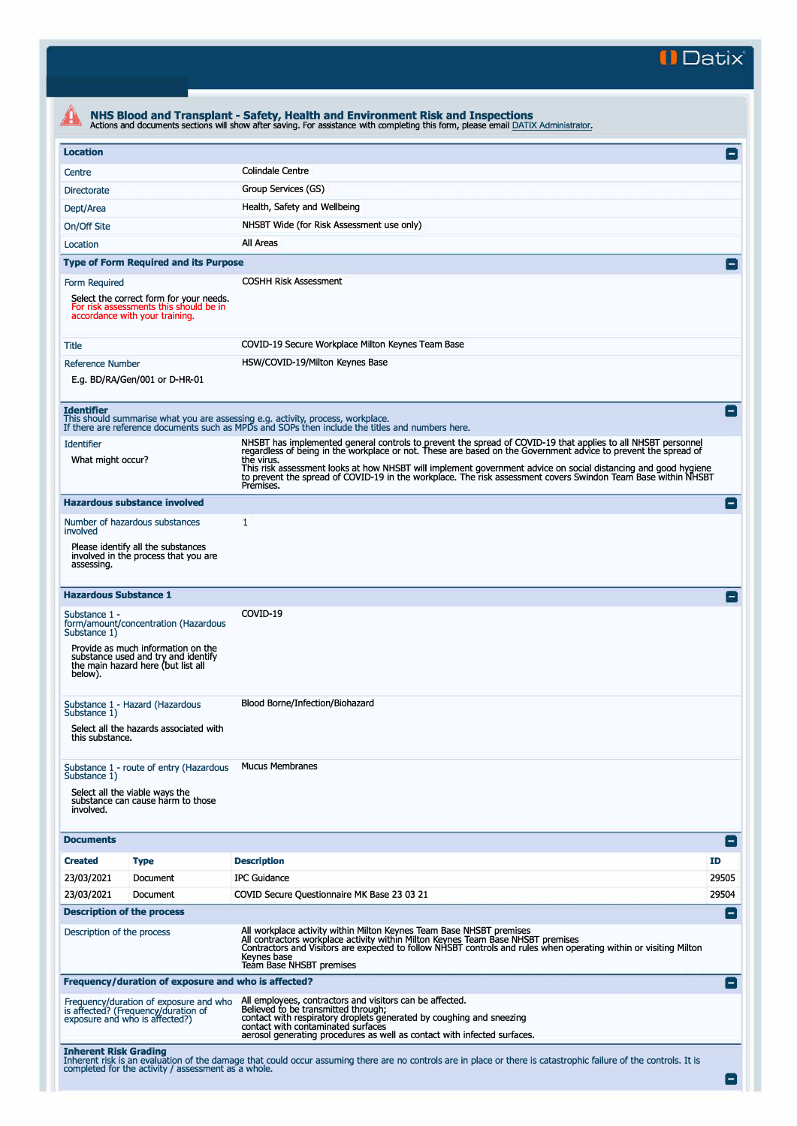**II Datix"** 

| <b>Location</b>               |                                                                                                                     |                                                                                                                                                                                                                                                                                                                          |                          |  |  |  |
|-------------------------------|---------------------------------------------------------------------------------------------------------------------|--------------------------------------------------------------------------------------------------------------------------------------------------------------------------------------------------------------------------------------------------------------------------------------------------------------------------|--------------------------|--|--|--|
| Centre                        |                                                                                                                     | <b>Colindale Centre</b>                                                                                                                                                                                                                                                                                                  |                          |  |  |  |
| <b>Directorate</b>            |                                                                                                                     | Group Services (GS)                                                                                                                                                                                                                                                                                                      |                          |  |  |  |
| Dept/Area                     |                                                                                                                     | Health, Safety and Wellbeing                                                                                                                                                                                                                                                                                             |                          |  |  |  |
| On/Off Site                   |                                                                                                                     | NHSBT Wide (for Risk Assessment use only)                                                                                                                                                                                                                                                                                |                          |  |  |  |
| Location                      |                                                                                                                     | All Areas                                                                                                                                                                                                                                                                                                                |                          |  |  |  |
|                               | <b>Type of Form Required and its Purpose</b>                                                                        |                                                                                                                                                                                                                                                                                                                          |                          |  |  |  |
| Form Required                 |                                                                                                                     | <b>COSHH Risk Assessment</b>                                                                                                                                                                                                                                                                                             |                          |  |  |  |
|                               | Select the correct form for your needs.<br>For risk assessments this should be in<br>accordance with your training. |                                                                                                                                                                                                                                                                                                                          |                          |  |  |  |
| Title                         |                                                                                                                     | COVID-19 Secure Workplace Milton Keynes Team Base                                                                                                                                                                                                                                                                        |                          |  |  |  |
| <b>Reference Number</b>       |                                                                                                                     | HSW/COVID-19/Milton Keynes Base                                                                                                                                                                                                                                                                                          |                          |  |  |  |
|                               | E.g. BD/RA/Gen/001 or D-HR-01                                                                                       |                                                                                                                                                                                                                                                                                                                          |                          |  |  |  |
| <b>Identifier</b>             |                                                                                                                     | This should summarise what you are assessing e.g. activity, process, workplace.<br>If there are reference documents such as MPDs and SOPs then include the titles and numbers here.                                                                                                                                      | $\blacksquare$           |  |  |  |
| <b>Identifier</b>             |                                                                                                                     | NHSBT has implemented general controls to prevent the spread of COVID-19 that applies to all NHSBT personnel<br>regardless of being in the workplace or not. These are based on the Government advice to prevent the spread of                                                                                           |                          |  |  |  |
| What might occur?             |                                                                                                                     | the virus.<br>This risk assessment looks at how NHSBT will implement government advice on social distancing and good hygiene<br>to prevent the spread of COVID-19 in the workplace. The risk assessment covers Swindon Team Base within NHSBT<br>Premises.                                                               |                          |  |  |  |
|                               | <b>Hazardous substance involved</b>                                                                                 |                                                                                                                                                                                                                                                                                                                          | $\blacksquare$           |  |  |  |
| involved                      | Number of hazardous substances                                                                                      | 1                                                                                                                                                                                                                                                                                                                        |                          |  |  |  |
| assessing.                    | Please identify all the substances<br>involved in the process that you are                                          |                                                                                                                                                                                                                                                                                                                          |                          |  |  |  |
| <b>Hazardous Substance 1</b>  |                                                                                                                     |                                                                                                                                                                                                                                                                                                                          |                          |  |  |  |
| Substance 1 -<br>Substance 1) | form/amount/concentration (Hazardous                                                                                | COVID-19                                                                                                                                                                                                                                                                                                                 |                          |  |  |  |
| below).                       | Provide as much information on the<br>substance used and try and identify<br>the main hazard here (but list all     |                                                                                                                                                                                                                                                                                                                          |                          |  |  |  |
| Substance 1)                  | Substance 1 - Hazard (Hazardous                                                                                     | Blood Borne/Infection/Biohazard                                                                                                                                                                                                                                                                                          |                          |  |  |  |
| this substance.               | Select all the hazards associated with                                                                              |                                                                                                                                                                                                                                                                                                                          |                          |  |  |  |
| Substance 1)                  | Substance 1 - route of entry (Hazardous                                                                             | <b>Mucus Membranes</b>                                                                                                                                                                                                                                                                                                   |                          |  |  |  |
| involved.                     | Select all the viable ways the<br>substance can cause harm to those                                                 |                                                                                                                                                                                                                                                                                                                          |                          |  |  |  |
| <b>Documents</b>              |                                                                                                                     |                                                                                                                                                                                                                                                                                                                          | Е                        |  |  |  |
| <b>Created</b>                | <b>Type</b>                                                                                                         | <b>Description</b>                                                                                                                                                                                                                                                                                                       | ID                       |  |  |  |
| 23/03/2021                    | Document                                                                                                            | <b>IPC Guidance</b>                                                                                                                                                                                                                                                                                                      | 29505                    |  |  |  |
| 23/03/2021                    | Document                                                                                                            | COVID Secure Questionnaire MK Base 23 03 21                                                                                                                                                                                                                                                                              | 29504                    |  |  |  |
|                               | <b>Description of the process</b>                                                                                   |                                                                                                                                                                                                                                                                                                                          | $\overline{\phantom{a}}$ |  |  |  |
| Description of the process    |                                                                                                                     | All workplace activity within Milton Keynes Team Base NHSBT premises<br>All contractors workplace activity within Milton Keynes Team Base NHSBT premises<br>Contractors and Visitors are expected to follow NHSBT controls and rules when operating within or visiting Milton<br>Keynes base<br>Team Base NHSBT premises |                          |  |  |  |
|                               | Frequency/duration of exposure and who is affected?                                                                 |                                                                                                                                                                                                                                                                                                                          | Е                        |  |  |  |
|                               | Frequency/duration of exposure and who<br>is affected? (Frequency/duration of<br>exposure and who is affected?)     | All employees, contractors and visitors can be affected.<br>Believed to be transmitted through;<br>contact with respiratory droplets generated by coughing and sneezing<br>contact with contaminated surfaces<br>aerosol generating procedures as well as contact with infected surfaces.                                |                          |  |  |  |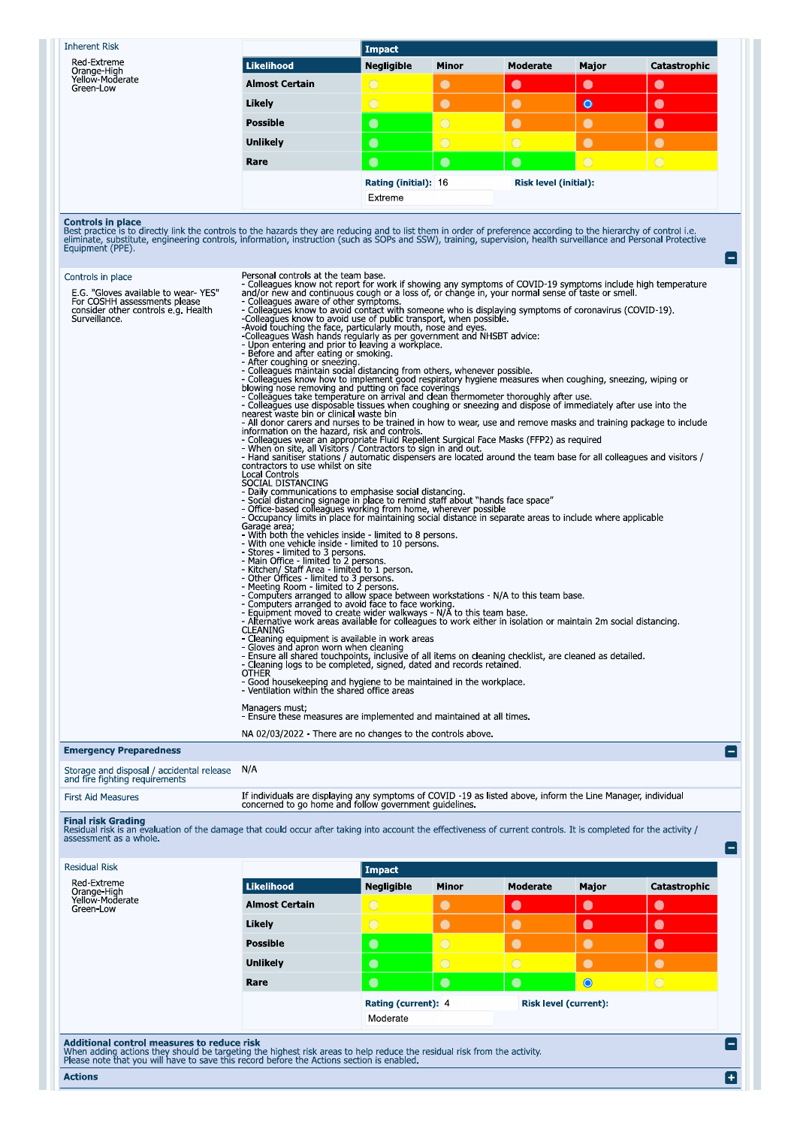| <b>Inherent Risk</b>                        |                       |
|---------------------------------------------|-----------------------|
| Red-Extreme                                 | l Likelihood          |
| Orange-High<br>Yellow-Moderate<br>Green-Low | <b>Almost Certain</b> |

| <b>Likelihood</b>               | <b>Negligible</b> | <b>Minor</b> | Moderate                     | Major     | Catastrophic |
|---------------------------------|-------------------|--------------|------------------------------|-----------|--------------|
| <b>Almost Certain</b>           | $\overline{O}$    | C.           | $\bullet$                    | $\bullet$ | $\bullet$    |
| Likely                          |                   |              | L.                           | $\bullet$ |              |
| <b>Possible</b>                 | ۰                 | T.           | O                            |           | $\bullet$    |
| <b>Unlikely</b>                 | $\bullet$         |              |                              |           |              |
| Rare                            | $\bullet$         |              | $\bullet$                    |           | ۰            |
| Rating (initial): 16<br>Extreme |                   |              | <b>Risk level (initial):</b> |           |              |
|                                 |                   |              |                              |           |              |

 $\blacksquare$ 

 $\blacksquare$ 

E

 $\blacksquare$ 

**Controls in place**<br>Best practice is to directly link the controls to the hazards they are reducing and to list them in order of preference according to the hierarchy of control i.e.<br>eliminate, substitute, engineering cont

Impact

| Controls in place<br>E.G. "Gloves available to wear-YES"<br>For COSHH assessments please<br>consider other controls e.g. Health<br>Surveillance. | Personal controls at the team base.<br>- Colleagues know not report for work if showing any symptoms of COVID-19 symptoms include high temperature and/or new and continuous cough or a loss of, or change in, your normal sense of taste or smell.<br>and/or new and continuous cough or a loss of, or change in, your normal sense of taste or smell.<br>- Colleagues aware of other symptoms.<br>- Colleagues know to avoid contact with someone who is displaying symptoms of coronavir<br>blowing nose removing and putting on face coverings<br>- Colleagues take temperature on arrival and clean thermometer thoroughly after use.<br>- Colleagues take temperature on arrival and clean thermometer thoroughly after use.<br><br>nearest waste bin or clinical waste bin<br>- All donor carers and nurses to be trained in how to wear, use and remove masks and training package to include<br>Information on the hazard, risk and controls.<br>The controls of the controls of the controls of the controls of the controls of the controls of the control of the controls of the controls of the control of the control of th<br>contractors to use whilst on site<br><b>Local Controls</b><br>SOCIAL DISTANCING<br>- Daily communications to emphasise social distancing.<br>- Social distancing signage in place to remind staff about "hands face space"<br>- Office-based colleagues working from home, wherever possible<br>- Occupancy limits in place for maintaining social distance in separate areas to include where applicable<br>Garage area;<br>- With both the vehicles inside - limited to 8 persons.<br>- With one vehicle inside - limited to 10 persons.<br>- Stores - limited to 3 persons.<br>- Main Office - limited to 2 persons.<br>- Kitchen/ Staff Area - limited to 2 persons.<br>- Cother Offices - limited to 3 persons.<br>- Meeting Room - limited to 3 persons.<br>- The Computers arranged to allow space between workstations - N/A to this team base.<br>- Computers arranged to avoid face to face working.<br>- Equipment moved to create wider walkways - N/A to this team base.<br>- Alternative wo<br><b>CLEANING</b><br>- Cleaning equipment is available in work areas<br>- Gloves and apron worn when cleaning<br>- Ensure all shared touchpoints, inclusive of all items on cleaning checklist, are cleaned as detailed.<br>- Cleaning logs to be completed, signed, dated and records retained.<br><b>OTHER</b><br>- Good housekeeping and hygiene to be maintained in the workplace.<br>- Ventilation within the shared office areas<br>Managers must;<br>- Ensure these measures are implemented and maintained at all times<br>NA 02/03/2022 - There are no changes to the controls above. |
|--------------------------------------------------------------------------------------------------------------------------------------------------|--------------------------------------------------------------------------------------------------------------------------------------------------------------------------------------------------------------------------------------------------------------------------------------------------------------------------------------------------------------------------------------------------------------------------------------------------------------------------------------------------------------------------------------------------------------------------------------------------------------------------------------------------------------------------------------------------------------------------------------------------------------------------------------------------------------------------------------------------------------------------------------------------------------------------------------------------------------------------------------------------------------------------------------------------------------------------------------------------------------------------------------------------------------------------------------------------------------------------------------------------------------------------------------------------------------------------------------------------------------------------------------------------------------------------------------------------------------------------------------------------------------------------------------------------------------------------------------------------------------------------------------------------------------------------------------------------------------------------------------------------------------------------------------------------------------------------------------------------------------------------------------------------------------------------------------------------------------------------------------------------------------------------------------------------------------------------------------------------------------------------------------------------------------------------------------------------------------------------------------------------------------------------------------------------------------------------------------------------------------------------------------------------------------------------------------------------------------------------------------------------------------------------------------------------------------------------------------------------------------------------------------------------------------------------------------------------------------------------------------------------------|
| <b>Emergency Preparedness</b>                                                                                                                    |                                                                                                                                                                                                                                                                                                                                                                                                                                                                                                                                                                                                                                                                                                                                                                                                                                                                                                                                                                                                                                                                                                                                                                                                                                                                                                                                                                                                                                                                                                                                                                                                                                                                                                                                                                                                                                                                                                                                                                                                                                                                                                                                                                                                                                                                                                                                                                                                                                                                                                                                                                                                                                                                                                                                                        |
| Storage and disposal / accidental release N/A<br>and fire fighting requirements                                                                  |                                                                                                                                                                                                                                                                                                                                                                                                                                                                                                                                                                                                                                                                                                                                                                                                                                                                                                                                                                                                                                                                                                                                                                                                                                                                                                                                                                                                                                                                                                                                                                                                                                                                                                                                                                                                                                                                                                                                                                                                                                                                                                                                                                                                                                                                                                                                                                                                                                                                                                                                                                                                                                                                                                                                                        |

and fire fighting requirements

If individuals are displaying any symptoms of COVID -19 as listed above, inform the Line Manager, individual concerned to go home and follow government guidelines.

## **First Aid Measures**

Final risk Grading<br>Residual risk is an evaluation of the damage that could occur after taking into account the effectiveness of current controls. It is completed for the activity /<br>assessment as a whole.

| <b>Residual Risk</b>                                                                                                                                                  |                       | Impact              |                |                              |           |              |
|-----------------------------------------------------------------------------------------------------------------------------------------------------------------------|-----------------------|---------------------|----------------|------------------------------|-----------|--------------|
| Red-Extreme<br>Orange-High                                                                                                                                            | Likelihood            | <b>Negligible</b>   | <b>Minor</b>   | Moderate                     | Major     | Catastrophic |
| Yellow-Moderate<br>Green-Low                                                                                                                                          | <b>Almost Certain</b> | $\bigcirc$          | $\bullet$      | $\bullet$                    | $\bullet$ | $\bullet$    |
|                                                                                                                                                                       | Likely                | $\bigcirc$          | $\bullet$      |                              | $\bullet$ | $\bullet$    |
|                                                                                                                                                                       | <b>Possible</b>       | $\bullet$           | $\overline{O}$ | $\bullet$                    |           | $\Box$       |
|                                                                                                                                                                       | <b>Unlikely</b>       | $\bullet$           | $\circ$        | $\bigcirc$                   |           |              |
|                                                                                                                                                                       | Rare                  | $\bullet$           | $\bullet$      | $\bullet$                    | $\bullet$ | $\bigcirc$   |
|                                                                                                                                                                       |                       | Rating (current): 4 |                | <b>Risk level (current):</b> |           |              |
|                                                                                                                                                                       |                       | Moderate            |                |                              |           |              |
| Additional control measures to reduce risk<br>When adding actions they should be targeting the highest risk areas to help reduce the residual risk from the activity. |                       |                     |                |                              |           |              |

Please note that you will have to save this record before the Actions section is enabled.

**Actions**